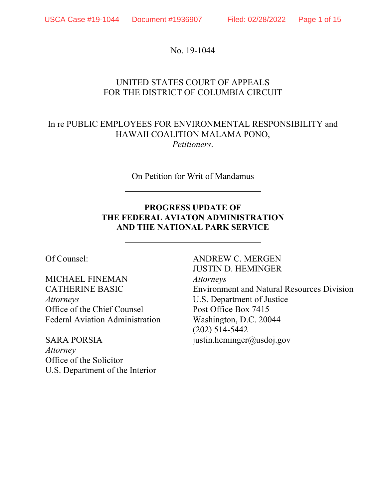l,

 $\overline{a}$ 

 $\overline{a}$ 

No. 19-1044

# UNITED STATES COURT OF APPEALS FOR THE DISTRICT OF COLUMBIA CIRCUIT

#### In re PUBLIC EMPLOYEES FOR ENVIRONMENTAL RESPONSIBILITY and HAWAII COALITION MALAMA PONO, *Petitioners*.

On Petition for Writ of Mandamus

# **PROGRESS UPDATE OF THE FEDERAL AVIATON ADMINISTRATION AND THE NATIONAL PARK SERVICE**

Of Counsel:

MICHAEL FINEMAN CATHERINE BASIC *Attorneys*  Office of the Chief Counsel Federal Aviation Administration

SARA PORSIA *Attorney*  Office of the Solicitor U.S. Department of the Interior ANDREW C. MERGEN JUSTIN D. HEMINGER *Attorneys*  Environment and Natural Resources Division U.S. Department of Justice Post Office Box 7415 Washington, D.C. 20044 (202) 514-5442 justin.heminger@usdoj.gov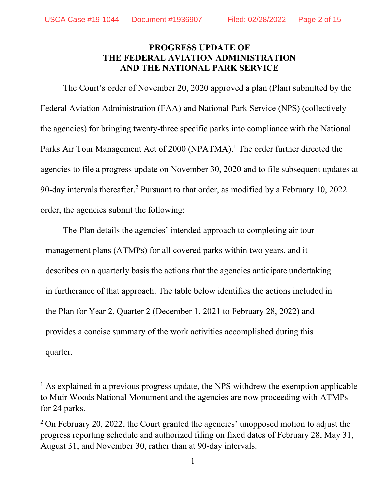# **PROGRESS UPDATE OF THE FEDERAL AVIATION ADMINISTRATION AND THE NATIONAL PARK SERVICE**

The Court's order of November 20, 2020 approved a plan (Plan) submitted by the Federal Aviation Administration (FAA) and National Park Service (NPS) (collectively the agencies) for bringing twenty-three specific parks into compliance with the National Parks Air Tour Management Act of 2000 (NPATMA).<sup>1</sup> The order further directed the agencies to file a progress update on November 30, 2020 and to file subsequent updates at 90-day intervals thereafter.<sup>2</sup> Pursuant to that order, as modified by a February 10, 2022 order, the agencies submit the following:

The Plan details the agencies' intended approach to completing air tour management plans (ATMPs) for all covered parks within two years, and it describes on a quarterly basis the actions that the agencies anticipate undertaking in furtherance of that approach. The table below identifies the actions included in the Plan for Year 2, Quarter 2 (December 1, 2021 to February 28, 2022) and provides a concise summary of the work activities accomplished during this quarter.

<sup>&</sup>lt;sup>1</sup> As explained in a previous progress update, the NPS withdrew the exemption applicable to Muir Woods National Monument and the agencies are now proceeding with ATMPs for 24 parks.

 $2$  On February 20, 2022, the Court granted the agencies' unopposed motion to adjust the progress reporting schedule and authorized filing on fixed dates of February 28, May 31, August 31, and November 30, rather than at 90-day intervals.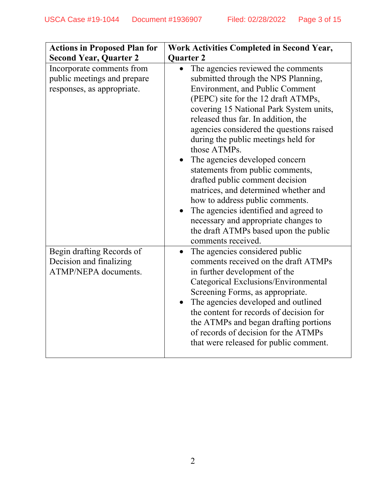| <b>Actions in Proposed Plan for</b><br><b>Second Year, Quarter 2</b>                   | <b>Work Activities Completed in Second Year,</b><br><b>Quarter 2</b>                                                                                                                                                                                                                                                                                                                                                                                                                                                                                                                                                                                                                |
|----------------------------------------------------------------------------------------|-------------------------------------------------------------------------------------------------------------------------------------------------------------------------------------------------------------------------------------------------------------------------------------------------------------------------------------------------------------------------------------------------------------------------------------------------------------------------------------------------------------------------------------------------------------------------------------------------------------------------------------------------------------------------------------|
| Incorporate comments from<br>public meetings and prepare<br>responses, as appropriate. | The agencies reviewed the comments<br>submitted through the NPS Planning,<br><b>Environment, and Public Comment</b><br>(PEPC) site for the 12 draft ATMPs,<br>covering 15 National Park System units,<br>released thus far. In addition, the<br>agencies considered the questions raised<br>during the public meetings held for<br>those ATMPs.<br>The agencies developed concern<br>statements from public comments,<br>drafted public comment decision<br>matrices, and determined whether and<br>how to address public comments.<br>The agencies identified and agreed to<br>necessary and appropriate changes to<br>the draft ATMPs based upon the public<br>comments received. |
| Begin drafting Records of<br>Decision and finalizing<br>ATMP/NEPA documents.           | The agencies considered public<br>comments received on the draft ATMPs<br>in further development of the<br>Categorical Exclusions/Environmental<br>Screening Forms, as appropriate.<br>The agencies developed and outlined<br>the content for records of decision for<br>the ATMPs and began drafting portions<br>of records of decision for the ATMPs<br>that were released for public comment.                                                                                                                                                                                                                                                                                    |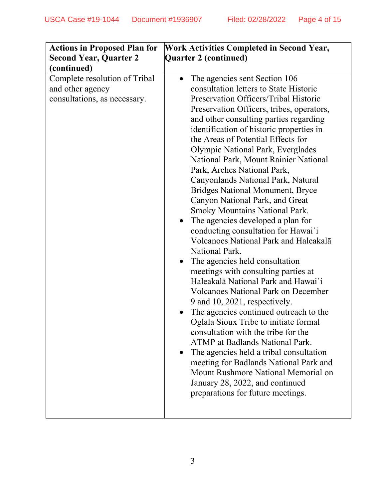| <b>Actions in Proposed Plan for</b>                                               | <b>Work Activities Completed in Second Year,</b>                                                                                                                                                                                                                                                                                                                                                                                                                                                                                                                                                                                                                                                                                                                                                                                                                                                                                                                                                                                                                                                                                                                                                                                                                                               |
|-----------------------------------------------------------------------------------|------------------------------------------------------------------------------------------------------------------------------------------------------------------------------------------------------------------------------------------------------------------------------------------------------------------------------------------------------------------------------------------------------------------------------------------------------------------------------------------------------------------------------------------------------------------------------------------------------------------------------------------------------------------------------------------------------------------------------------------------------------------------------------------------------------------------------------------------------------------------------------------------------------------------------------------------------------------------------------------------------------------------------------------------------------------------------------------------------------------------------------------------------------------------------------------------------------------------------------------------------------------------------------------------|
| <b>Second Year, Quarter 2</b>                                                     | Quarter 2 (continued)                                                                                                                                                                                                                                                                                                                                                                                                                                                                                                                                                                                                                                                                                                                                                                                                                                                                                                                                                                                                                                                                                                                                                                                                                                                                          |
| (continued)                                                                       |                                                                                                                                                                                                                                                                                                                                                                                                                                                                                                                                                                                                                                                                                                                                                                                                                                                                                                                                                                                                                                                                                                                                                                                                                                                                                                |
| Complete resolution of Tribal<br>and other agency<br>consultations, as necessary. | The agencies sent Section 106<br>$\bullet$<br>consultation letters to State Historic<br>Preservation Officers/Tribal Historic<br>Preservation Officers, tribes, operators,<br>and other consulting parties regarding<br>identification of historic properties in<br>the Areas of Potential Effects for<br>Olympic National Park, Everglades<br>National Park, Mount Rainier National<br>Park, Arches National Park,<br>Canyonlands National Park, Natural<br><b>Bridges National Monument, Bryce</b><br>Canyon National Park, and Great<br><b>Smoky Mountains National Park.</b><br>The agencies developed a plan for<br>conducting consultation for Hawai'i<br>Volcanoes National Park and Haleakalā<br>National Park.<br>The agencies held consultation<br>meetings with consulting parties at<br>Haleakalā National Park and Hawai'i<br><b>Volcanoes National Park on December</b><br>9 and 10, 2021, respectively.<br>The agencies continued outreach to the<br>Oglala Sioux Tribe to initiate formal<br>consultation with the tribe for the<br><b>ATMP</b> at Badlands National Park.<br>The agencies held a tribal consultation<br>meeting for Badlands National Park and<br>Mount Rushmore National Memorial on<br>January 28, 2022, and continued<br>preparations for future meetings. |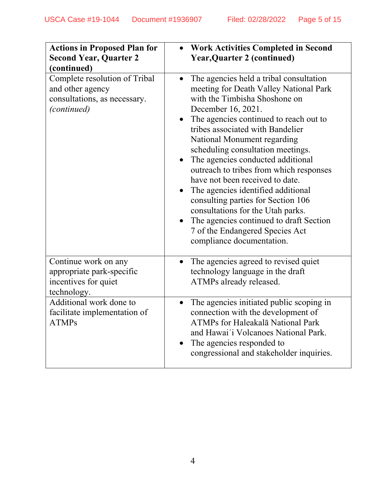| <b>Actions in Proposed Plan for</b><br><b>Second Year, Quarter 2</b><br>(continued)                     | <b>Work Activities Completed in Second</b><br><b>Year, Quarter 2 (continued)</b>                                                                                                                                                                                                                                                                                                                                                                                                                                                                                                                                                                       |
|---------------------------------------------------------------------------------------------------------|--------------------------------------------------------------------------------------------------------------------------------------------------------------------------------------------------------------------------------------------------------------------------------------------------------------------------------------------------------------------------------------------------------------------------------------------------------------------------------------------------------------------------------------------------------------------------------------------------------------------------------------------------------|
| Complete resolution of Tribal<br>and other agency<br>consultations, as necessary.<br><i>(continued)</i> | The agencies held a tribal consultation<br>$\bullet$<br>meeting for Death Valley National Park<br>with the Timbisha Shoshone on<br>December 16, 2021.<br>The agencies continued to reach out to<br>tribes associated with Bandelier<br>National Monument regarding<br>scheduling consultation meetings.<br>The agencies conducted additional<br>outreach to tribes from which responses<br>have not been received to date.<br>The agencies identified additional<br>consulting parties for Section 106<br>consultations for the Utah parks.<br>The agencies continued to draft Section<br>7 of the Endangered Species Act<br>compliance documentation. |
| Continue work on any<br>appropriate park-specific<br>incentives for quiet<br>technology.                | The agencies agreed to revised quiet<br>$\bullet$<br>technology language in the draft<br>ATMPs already released.                                                                                                                                                                                                                                                                                                                                                                                                                                                                                                                                       |
| Additional work done to<br>facilitate implementation of<br><b>ATMPs</b>                                 | The agencies initiated public scoping in<br>$\bullet$<br>connection with the development of<br>ATMPs for Haleakalā National Park<br>and Hawai'i Volcanoes National Park.<br>The agencies responded to<br>congressional and stakeholder inquiries.                                                                                                                                                                                                                                                                                                                                                                                                      |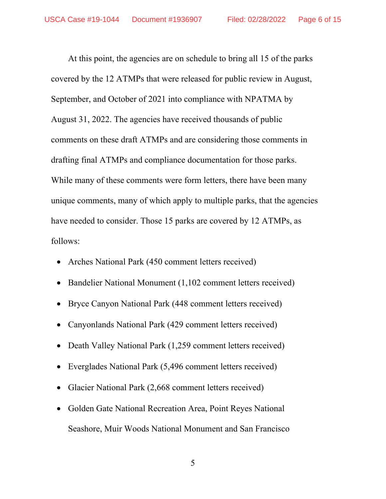At this point, the agencies are on schedule to bring all 15 of the parks covered by the 12 ATMPs that were released for public review in August, September, and October of 2021 into compliance with NPATMA by August 31, 2022. The agencies have received thousands of public comments on these draft ATMPs and are considering those comments in drafting final ATMPs and compliance documentation for those parks. While many of these comments were form letters, there have been many unique comments, many of which apply to multiple parks, that the agencies have needed to consider. Those 15 parks are covered by 12 ATMPs, as follows:

- Arches National Park (450 comment letters received)
- Bandelier National Monument (1,102 comment letters received)
- Bryce Canyon National Park (448 comment letters received)
- Canyonlands National Park (429 comment letters received)
- Death Valley National Park (1,259 comment letters received)
- Everglades National Park (5,496 comment letters received)
- Glacier National Park (2,668 comment letters received)
- Golden Gate National Recreation Area, Point Reyes National Seashore, Muir Woods National Monument and San Francisco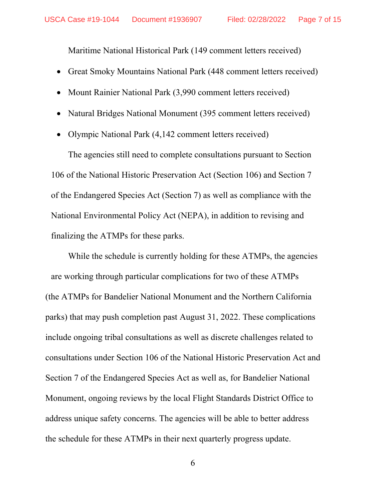Maritime National Historical Park (149 comment letters received)

- Great Smoky Mountains National Park (448 comment letters received)
- Mount Rainier National Park (3,990 comment letters received)
- Natural Bridges National Monument (395 comment letters received)
- Olympic National Park (4,142 comment letters received)

The agencies still need to complete consultations pursuant to Section 106 of the National Historic Preservation Act (Section 106) and Section 7 of the Endangered Species Act (Section 7) as well as compliance with the National Environmental Policy Act (NEPA), in addition to revising and finalizing the ATMPs for these parks.

While the schedule is currently holding for these ATMPs, the agencies are working through particular complications for two of these ATMPs (the ATMPs for Bandelier National Monument and the Northern California parks) that may push completion past August 31, 2022. These complications include ongoing tribal consultations as well as discrete challenges related to consultations under Section 106 of the National Historic Preservation Act and Section 7 of the Endangered Species Act as well as, for Bandelier National Monument, ongoing reviews by the local Flight Standards District Office to address unique safety concerns. The agencies will be able to better address the schedule for these ATMPs in their next quarterly progress update.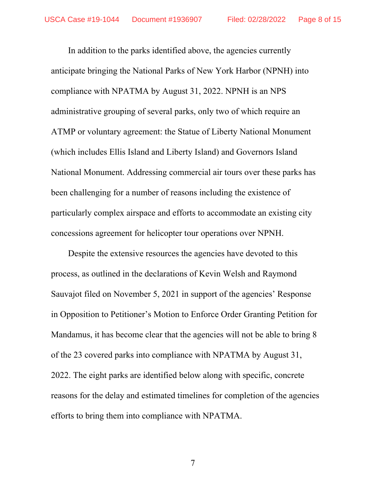In addition to the parks identified above, the agencies currently anticipate bringing the National Parks of New York Harbor (NPNH) into compliance with NPATMA by August 31, 2022. NPNH is an NPS administrative grouping of several parks, only two of which require an ATMP or voluntary agreement: the Statue of Liberty National Monument (which includes Ellis Island and Liberty Island) and Governors Island National Monument. Addressing commercial air tours over these parks has been challenging for a number of reasons including the existence of particularly complex airspace and efforts to accommodate an existing city concessions agreement for helicopter tour operations over NPNH.

Despite the extensive resources the agencies have devoted to this process, as outlined in the declarations of Kevin Welsh and Raymond Sauvajot filed on November 5, 2021 in support of the agencies' Response in Opposition to Petitioner's Motion to Enforce Order Granting Petition for Mandamus, it has become clear that the agencies will not be able to bring 8 of the 23 covered parks into compliance with NPATMA by August 31, 2022. The eight parks are identified below along with specific, concrete reasons for the delay and estimated timelines for completion of the agencies efforts to bring them into compliance with NPATMA.

7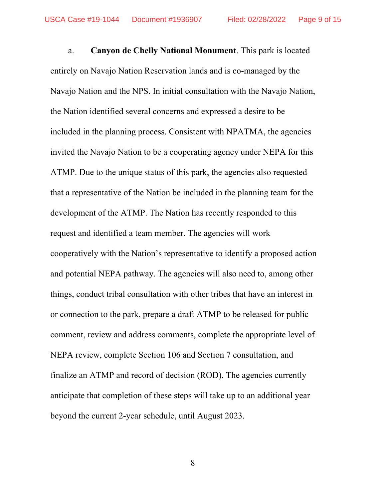a. **Canyon de Chelly National Monument**. This park is located entirely on Navajo Nation Reservation lands and is co-managed by the Navajo Nation and the NPS. In initial consultation with the Navajo Nation, the Nation identified several concerns and expressed a desire to be included in the planning process. Consistent with NPATMA, the agencies invited the Navajo Nation to be a cooperating agency under NEPA for this ATMP. Due to the unique status of this park, the agencies also requested that a representative of the Nation be included in the planning team for the development of the ATMP. The Nation has recently responded to this request and identified a team member. The agencies will work cooperatively with the Nation's representative to identify a proposed action and potential NEPA pathway. The agencies will also need to, among other things, conduct tribal consultation with other tribes that have an interest in or connection to the park, prepare a draft ATMP to be released for public comment, review and address comments, complete the appropriate level of NEPA review, complete Section 106 and Section 7 consultation, and finalize an ATMP and record of decision (ROD). The agencies currently anticipate that completion of these steps will take up to an additional year beyond the current 2-year schedule, until August 2023.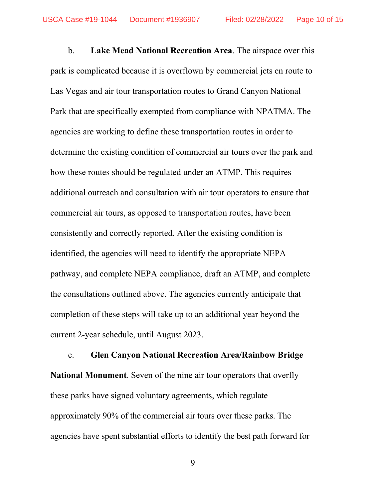b. **Lake Mead National Recreation Area**. The airspace over this park is complicated because it is overflown by commercial jets en route to Las Vegas and air tour transportation routes to Grand Canyon National Park that are specifically exempted from compliance with NPATMA. The agencies are working to define these transportation routes in order to determine the existing condition of commercial air tours over the park and how these routes should be regulated under an ATMP. This requires additional outreach and consultation with air tour operators to ensure that commercial air tours, as opposed to transportation routes, have been consistently and correctly reported. After the existing condition is identified, the agencies will need to identify the appropriate NEPA pathway, and complete NEPA compliance, draft an ATMP, and complete the consultations outlined above. The agencies currently anticipate that completion of these steps will take up to an additional year beyond the current 2-year schedule, until August 2023.

c. **Glen Canyon National Recreation Area/Rainbow Bridge National Monument**. Seven of the nine air tour operators that overfly these parks have signed voluntary agreements, which regulate approximately 90% of the commercial air tours over these parks. The agencies have spent substantial efforts to identify the best path forward for

9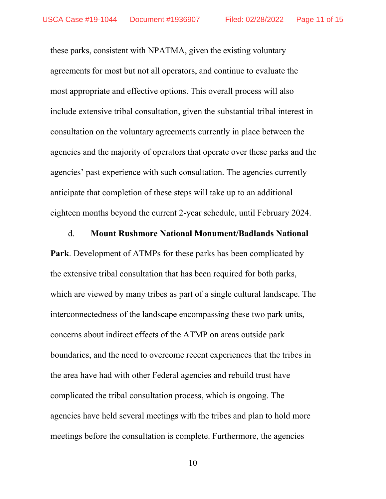these parks, consistent with NPATMA, given the existing voluntary agreements for most but not all operators, and continue to evaluate the most appropriate and effective options. This overall process will also include extensive tribal consultation, given the substantial tribal interest in consultation on the voluntary agreements currently in place between the agencies and the majority of operators that operate over these parks and the agencies' past experience with such consultation. The agencies currently anticipate that completion of these steps will take up to an additional eighteen months beyond the current 2-year schedule, until February 2024.

#### d. **Mount Rushmore National Monument/Badlands National**

**Park**. Development of ATMPs for these parks has been complicated by the extensive tribal consultation that has been required for both parks, which are viewed by many tribes as part of a single cultural landscape. The interconnectedness of the landscape encompassing these two park units, concerns about indirect effects of the ATMP on areas outside park boundaries, and the need to overcome recent experiences that the tribes in the area have had with other Federal agencies and rebuild trust have complicated the tribal consultation process, which is ongoing. The agencies have held several meetings with the tribes and plan to hold more meetings before the consultation is complete. Furthermore, the agencies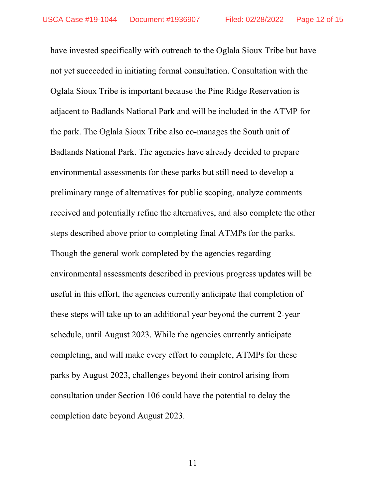have invested specifically with outreach to the Oglala Sioux Tribe but have not yet succeeded in initiating formal consultation. Consultation with the Oglala Sioux Tribe is important because the Pine Ridge Reservation is adjacent to Badlands National Park and will be included in the ATMP for the park. The Oglala Sioux Tribe also co-manages the South unit of Badlands National Park. The agencies have already decided to prepare environmental assessments for these parks but still need to develop a preliminary range of alternatives for public scoping, analyze comments received and potentially refine the alternatives, and also complete the other steps described above prior to completing final ATMPs for the parks. Though the general work completed by the agencies regarding environmental assessments described in previous progress updates will be useful in this effort, the agencies currently anticipate that completion of these steps will take up to an additional year beyond the current 2-year schedule, until August 2023. While the agencies currently anticipate completing, and will make every effort to complete, ATMPs for these parks by August 2023, challenges beyond their control arising from consultation under Section 106 could have the potential to delay the completion date beyond August 2023.

11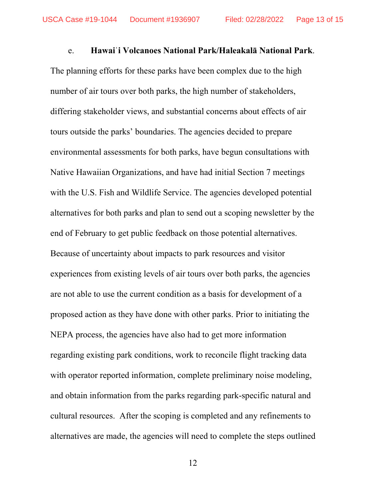#### e. **Hawaiˈi Volcanoes National Park/Haleakalā National Park**.

The planning efforts for these parks have been complex due to the high number of air tours over both parks, the high number of stakeholders, differing stakeholder views, and substantial concerns about effects of air tours outside the parks' boundaries. The agencies decided to prepare environmental assessments for both parks, have begun consultations with Native Hawaiian Organizations, and have had initial Section 7 meetings with the U.S. Fish and Wildlife Service. The agencies developed potential alternatives for both parks and plan to send out a scoping newsletter by the end of February to get public feedback on those potential alternatives. Because of uncertainty about impacts to park resources and visitor experiences from existing levels of air tours over both parks, the agencies are not able to use the current condition as a basis for development of a proposed action as they have done with other parks. Prior to initiating the NEPA process, the agencies have also had to get more information regarding existing park conditions, work to reconcile flight tracking data with operator reported information, complete preliminary noise modeling, and obtain information from the parks regarding park-specific natural and cultural resources. After the scoping is completed and any refinements to alternatives are made, the agencies will need to complete the steps outlined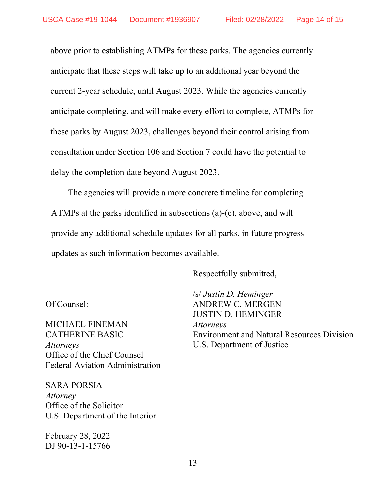above prior to establishing ATMPs for these parks. The agencies currently anticipate that these steps will take up to an additional year beyond the current 2-year schedule, until August 2023. While the agencies currently anticipate completing, and will make every effort to complete, ATMPs for these parks by August 2023, challenges beyond their control arising from consultation under Section 106 and Section 7 could have the potential to delay the completion date beyond August 2023.

The agencies will provide a more concrete timeline for completing ATMPs at the parks identified in subsections (a)-(e), above, and will provide any additional schedule updates for all parks, in future progress updates as such information becomes available.

Respectfully submitted,

U.S. Department of Justice

Of Counsel:

MICHAEL FINEMAN CATHERINE BASIC *Attorneys*  Office of the Chief Counsel Federal Aviation Administration

SARA PORSIA *Attorney*  Office of the Solicitor U.S. Department of the Interior

February 28, 2022 DJ 90-13-1-15766 /s/ *Justin D. Heminger* ANDREW C. MERGEN JUSTIN D. HEMINGER *Attorneys*  Environment and Natural Resources Division